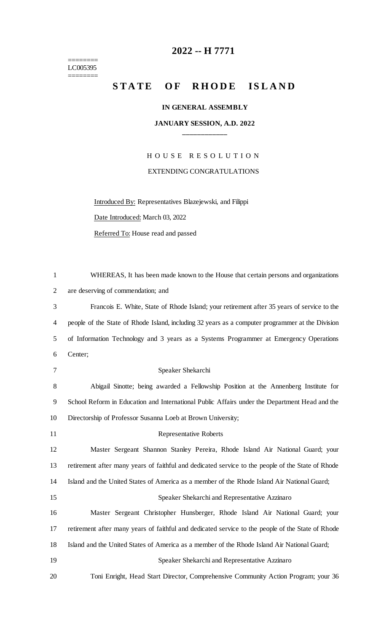======== LC005395 ========

# **-- H 7771**

## STATE OF RHODE ISLAND

#### **IN GENERAL ASSEMBLY**

### **JANUARY SESSION, A.D. 2022 \_\_\_\_\_\_\_\_\_\_\_\_**

H O U S E R E S O L U T I O N EXTENDING CONGRATULATIONS

Introduced By: Representatives Blazejewski, and Filippi

Date Introduced: March 03, 2022

Referred To: House read and passed

| $\mathbf{1}$   | WHEREAS, It has been made known to the House that certain persons and organizations               |
|----------------|---------------------------------------------------------------------------------------------------|
| $\overline{2}$ | are deserving of commendation; and                                                                |
| 3              | Francois E. White, State of Rhode Island; your retirement after 35 years of service to the        |
| 4              | people of the State of Rhode Island, including 32 years as a computer programmer at the Division  |
| 5              | of Information Technology and 3 years as a Systems Programmer at Emergency Operations             |
| 6              | Center;                                                                                           |
| 7              | Speaker Shekarchi                                                                                 |
| 8              | Abigail Sinotte; being awarded a Fellowship Position at the Annenberg Institute for               |
| 9              | School Reform in Education and International Public Affairs under the Department Head and the     |
| 10             | Directorship of Professor Susanna Loeb at Brown University;                                       |
| 11             | <b>Representative Roberts</b>                                                                     |
| 12             | Master Sergeant Shannon Stanley Pereira, Rhode Island Air National Guard; your                    |
| 13             | retirement after many years of faithful and dedicated service to the people of the State of Rhode |
| 14             | Island and the United States of America as a member of the Rhode Island Air National Guard;       |
| 15             | Speaker Shekarchi and Representative Azzinaro                                                     |
| 16             | Master Sergeant Christopher Hunsberger, Rhode Island Air National Guard; your                     |
| 17             | retirement after many years of faithful and dedicated service to the people of the State of Rhode |
| 18             | Island and the United States of America as a member of the Rhode Island Air National Guard;       |
| 19             |                                                                                                   |
|                | Speaker Shekarchi and Representative Azzinaro                                                     |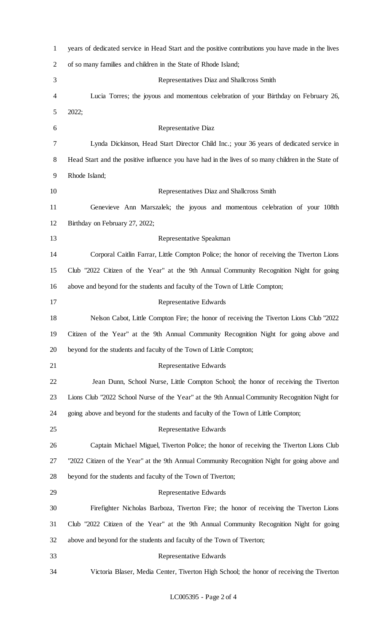| $\mathbf{1}$   | years of dedicated service in Head Start and the positive contributions you have made in the lives  |
|----------------|-----------------------------------------------------------------------------------------------------|
| $\overline{2}$ | of so many families and children in the State of Rhode Island;                                      |
| 3              | Representatives Diaz and Shallcross Smith                                                           |
| 4              | Lucia Torres; the joyous and momentous celebration of your Birthday on February 26,                 |
| 5              | 2022;                                                                                               |
| 6              | <b>Representative Diaz</b>                                                                          |
| 7              | Lynda Dickinson, Head Start Director Child Inc.; your 36 years of dedicated service in              |
| 8              | Head Start and the positive influence you have had in the lives of so many children in the State of |
| 9              | Rhode Island;                                                                                       |
| 10             | Representatives Diaz and Shallcross Smith                                                           |
| 11             | Genevieve Ann Marszalek; the joyous and momentous celebration of your 108th                         |
| 12             | Birthday on February 27, 2022;                                                                      |
| 13             | Representative Speakman                                                                             |
| 14             | Corporal Caitlin Farrar, Little Compton Police; the honor of receiving the Tiverton Lions           |
| 15             | Club "2022 Citizen of the Year" at the 9th Annual Community Recognition Night for going             |
| 16             | above and beyond for the students and faculty of the Town of Little Compton;                        |
| 17             | <b>Representative Edwards</b>                                                                       |
| 18             | Nelson Cabot, Little Compton Fire; the honor of receiving the Tiverton Lions Club "2022             |
| 19             | Citizen of the Year" at the 9th Annual Community Recognition Night for going above and              |
| 20             | beyond for the students and faculty of the Town of Little Compton;                                  |
| 21             | Representative Edwards                                                                              |
| 22             | Jean Dunn, School Nurse, Little Compton School; the honor of receiving the Tiverton                 |
| 23             | Lions Club "2022 School Nurse of the Year" at the 9th Annual Community Recognition Night for        |
| 24             | going above and beyond for the students and faculty of the Town of Little Compton;                  |
| 25             | Representative Edwards                                                                              |
| 26             | Captain Michael Miguel, Tiverton Police; the honor of receiving the Tiverton Lions Club             |
| 27             | "2022 Citizen of the Year" at the 9th Annual Community Recognition Night for going above and        |
| 28             | beyond for the students and faculty of the Town of Tiverton;                                        |
| 29             | Representative Edwards                                                                              |
| 30             | Firefighter Nicholas Barboza, Tiverton Fire; the honor of receiving the Tiverton Lions              |
| 31             | Club "2022 Citizen of the Year" at the 9th Annual Community Recognition Night for going             |
| 32             | above and beyond for the students and faculty of the Town of Tiverton;                              |
| 33             | Representative Edwards                                                                              |
| 34             | Victoria Blaser, Media Center, Tiverton High School; the honor of receiving the Tiverton            |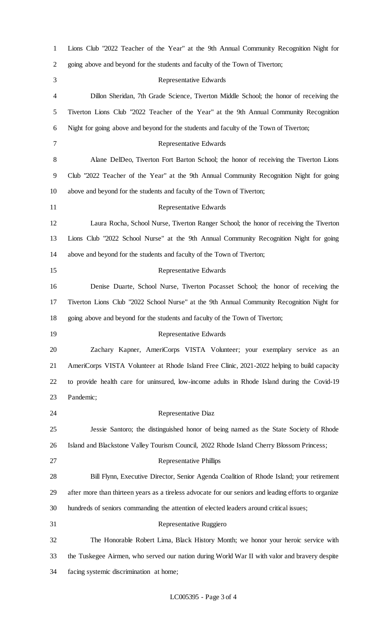| $\mathbf{1}$ | Lions Club "2022 Teacher of the Year" at the 9th Annual Community Recognition Night for               |
|--------------|-------------------------------------------------------------------------------------------------------|
| 2            | going above and beyond for the students and faculty of the Town of Tiverton;                          |
| 3            | Representative Edwards                                                                                |
| 4            | Dillon Sheridan, 7th Grade Science, Tiverton Middle School; the honor of receiving the                |
| 5            | Tiverton Lions Club "2022 Teacher of the Year" at the 9th Annual Community Recognition                |
| 6            | Night for going above and beyond for the students and faculty of the Town of Tiverton;                |
| 7            | Representative Edwards                                                                                |
| 8            | Alane DelDeo, Tiverton Fort Barton School; the honor of receiving the Tiverton Lions                  |
| 9            | Club "2022 Teacher of the Year" at the 9th Annual Community Recognition Night for going               |
| 10           | above and beyond for the students and faculty of the Town of Tiverton;                                |
| 11           | <b>Representative Edwards</b>                                                                         |
| 12           | Laura Rocha, School Nurse, Tiverton Ranger School; the honor of receiving the Tiverton                |
| 13           | Lions Club "2022 School Nurse" at the 9th Annual Community Recognition Night for going                |
| 14           | above and beyond for the students and faculty of the Town of Tiverton;                                |
| 15           | Representative Edwards                                                                                |
| 16           | Denise Duarte, School Nurse, Tiverton Pocasset School; the honor of receiving the                     |
| 17           | Tiverton Lions Club "2022 School Nurse" at the 9th Annual Community Recognition Night for             |
| 18           | going above and beyond for the students and faculty of the Town of Tiverton;                          |
| 19           | Representative Edwards                                                                                |
| 20           | Zachary Kapner, AmeriCorps VISTA Volunteer; your exemplary service as an                              |
| 21           | AmeriCorps VISTA Volunteer at Rhode Island Free Clinic, 2021-2022 helping to build capacity           |
| 22           | to provide health care for uninsured, low-income adults in Rhode Island during the Covid-19           |
| 23           | Pandemic;                                                                                             |
| 24           | Representative Diaz                                                                                   |
| 25           | Jessie Santoro; the distinguished honor of being named as the State Society of Rhode                  |
| 26           | Island and Blackstone Valley Tourism Council, 2022 Rhode Island Cherry Blossom Princess;              |
| 27           | <b>Representative Phillips</b>                                                                        |
| 28           | Bill Flynn, Executive Director, Senior Agenda Coalition of Rhode Island; your retirement              |
| 29           | after more than thirteen years as a tireless advocate for our seniors and leading efforts to organize |
| 30           | hundreds of seniors commanding the attention of elected leaders around critical issues;               |
| 31           | Representative Ruggiero                                                                               |
| 32           | The Honorable Robert Lima, Black History Month; we honor your heroic service with                     |
| 33           | the Tuskegee Airmen, who served our nation during World War II with valor and bravery despite         |
| 34           | facing systemic discrimination at home;                                                               |

### LC005395 - Page 3 of 4